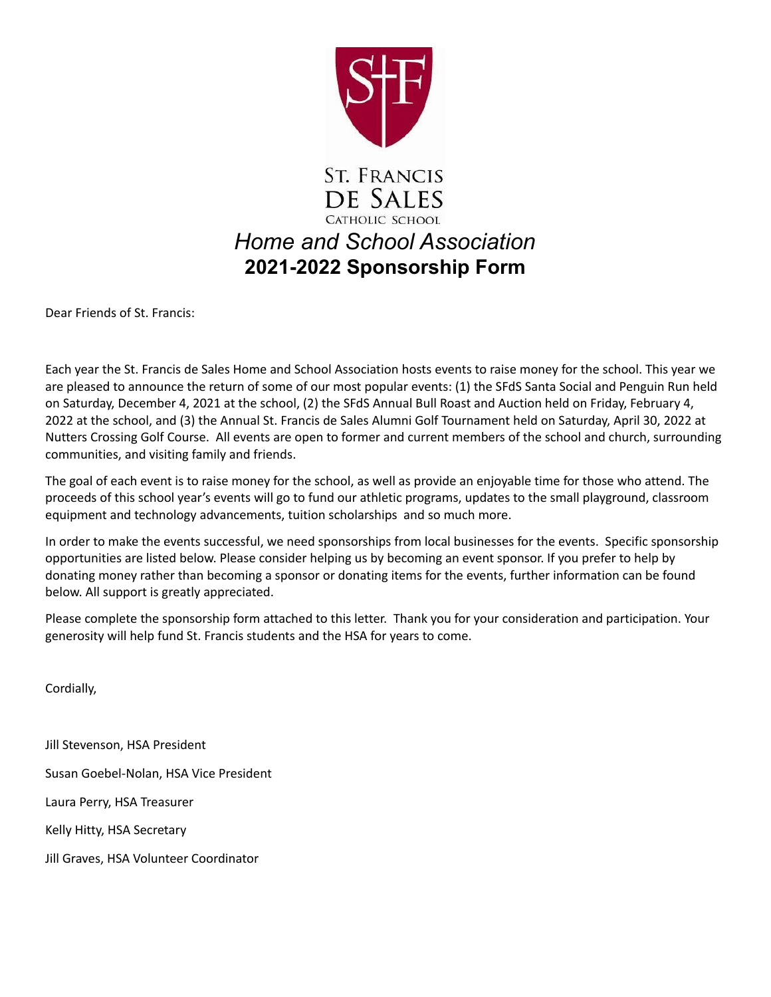

# **ST. FRANCIS** DE SALES CATHOLIC SCHOOL *Home and School Association* **2021-2022 Sponsorship Form**

Dear Friends of St. Francis:

Each year the St. Francis de Sales Home and School Association hosts events to raise money for the school. This year we are pleased to announce the return of some of our most popular events: (1) the SFdS Santa Social and Penguin Run held on Saturday, December 4, 2021 at the school, (2) the SFdS Annual Bull Roast and Auction held on Friday, February 4, 2022 at the school, and (3) the Annual St. Francis de Sales Alumni Golf Tournament held on Saturday, April 30, 2022 at Nutters Crossing Golf Course. All events are open to former and current members of the school and church, surrounding communities, and visiting family and friends.

The goal of each event is to raise money for the school, as well as provide an enjoyable time for those who attend. The proceeds of this school year's events will go to fund our athletic programs, updates to the small playground, classroom equipment and technology advancements, tuition scholarships and so much more.

In order to make the events successful, we need sponsorships from local businesses for the events. Specific sponsorship opportunities are listed below. Please consider helping us by becoming an event sponsor. If you prefer to help by donating money rather than becoming a sponsor or donating items for the events, further information can be found below. All support is greatly appreciated.

Please complete the sponsorship form attached to this letter. Thank you for your consideration and participation. Your generosity will help fund St. Francis students and the HSA for years to come.

Cordially,

Jill Stevenson, HSA President Susan Goebel-Nolan, HSA Vice President Laura Perry, HSA Treasurer Kelly Hitty, HSA Secretary Jill Graves, HSA Volunteer Coordinator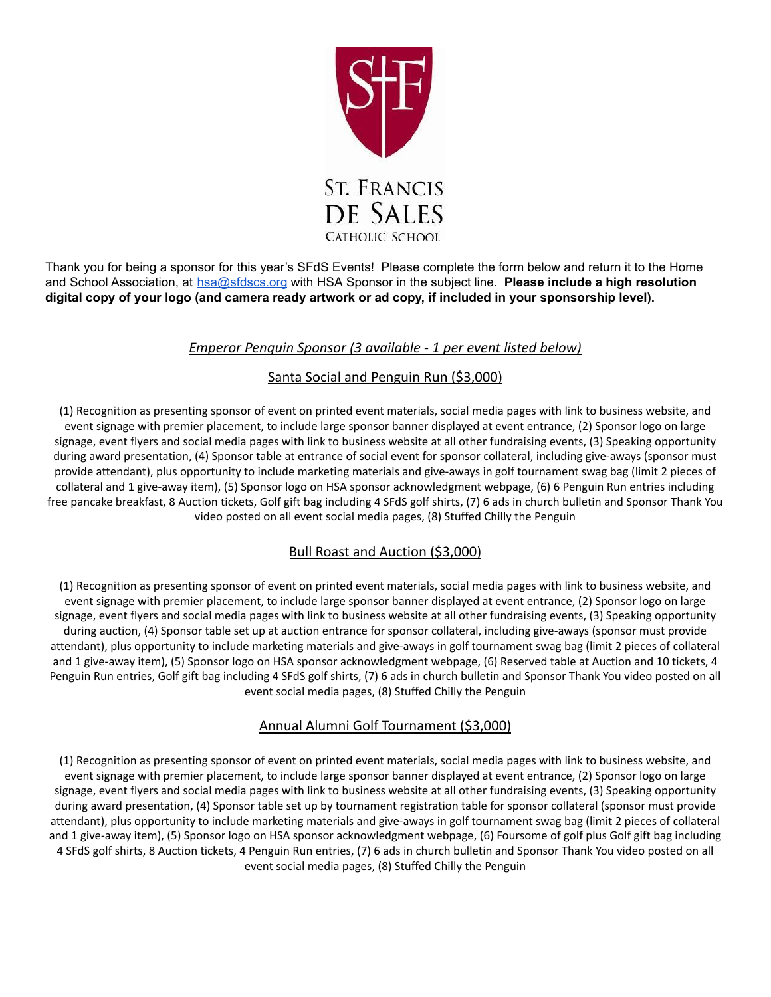

Thank you for being a sponsor for this year's SFdS Events! Please complete the form below and return it to the Home and School Association, at hsa@sfdscs.org with HSA Sponsor in the subject line. **Please include a high resolution** digital copy of your logo (and camera ready artwork or ad copy, if included in your sponsorship level).

## *Emperor Penguin Sponsor (3 available - 1 per event listed below)*

## Santa Social and Penguin Run (\$3,000)

(1) Recognition as presenting sponsor of event on printed event materials, social media pages with link to business website, and event signage with premier placement, to include large sponsor banner displayed at event entrance, (2) Sponsor logo on large signage, event flyers and social media pages with link to business website at all other fundraising events, (3) Speaking opportunity during award presentation, (4) Sponsor table at entrance of social event for sponsor collateral, including give-aways (sponsor must provide attendant), plus opportunity to include marketing materials and give-aways in golf tournament swag bag (limit 2 pieces of collateral and 1 give-away item), (5) Sponsor logo on HSA sponsor acknowledgment webpage, (6) 6 Penguin Run entries including free pancake breakfast, 8 Auction tickets, Golf gift bag including 4 SFdS golf shirts, (7) 6 ads in church bulletin and Sponsor Thank You video posted on all event social media pages, (8) Stuffed Chilly the Penguin

# Bull Roast and Auction (\$3,000)

(1) Recognition as presenting sponsor of event on printed event materials, social media pages with link to business website, and event signage with premier placement, to include large sponsor banner displayed at event entrance, (2) Sponsor logo on large signage, event flyers and social media pages with link to business website at all other fundraising events, (3) Speaking opportunity during auction, (4) Sponsor table set up at auction entrance for sponsor collateral, including give-aways (sponsor must provide attendant), plus opportunity to include marketing materials and give-aways in golf tournament swag bag (limit 2 pieces of collateral and 1 give-away item), (5) Sponsor logo on HSA sponsor acknowledgment webpage, (6) Reserved table at Auction and 10 tickets, 4 Penguin Run entries, Golf gift bag including 4 SFdS golf shirts, (7) 6 ads in church bulletin and Sponsor Thank You video posted on all event social media pages, (8) Stuffed Chilly the Penguin

# Annual Alumni Golf Tournament (\$3,000)

(1) Recognition as presenting sponsor of event on printed event materials, social media pages with link to business website, and event signage with premier placement, to include large sponsor banner displayed at event entrance, (2) Sponsor logo on large signage, event flyers and social media pages with link to business website at all other fundraising events, (3) Speaking opportunity during award presentation, (4) Sponsor table set up by tournament registration table for sponsor collateral (sponsor must provide attendant), plus opportunity to include marketing materials and give-aways in golf tournament swag bag (limit 2 pieces of collateral and 1 give-away item), (5) Sponsor logo on HSA sponsor acknowledgment webpage, (6) Foursome of golf plus Golf gift bag including 4 SFdS golf shirts, 8 Auction tickets, 4 Penguin Run entries, (7) 6 ads in church bulletin and Sponsor Thank You video posted on all event social media pages, (8) Stuffed Chilly the Penguin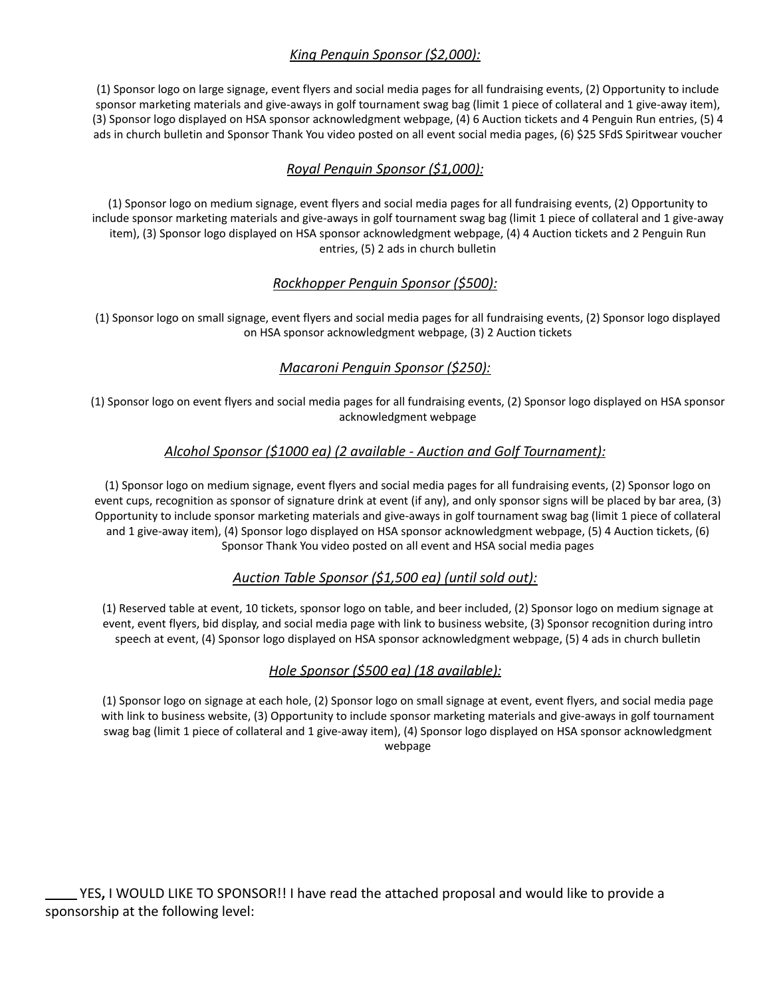# *King Penguin Sponsor (\$2,000):*

(1) Sponsor logo on large signage, event flyers and social media pages for all fundraising events, (2) Opportunity to include sponsor marketing materials and give-aways in golf tournament swag bag (limit 1 piece of collateral and 1 give-away item), (3) Sponsor logo displayed on HSA sponsor acknowledgment webpage, (4) 6 Auction tickets and 4 Penguin Run entries, (5) 4 ads in church bulletin and Sponsor Thank You video posted on all event social media pages, (6) \$25 SFdS Spiritwear voucher

## *Royal Penguin Sponsor (\$1,000):*

(1) Sponsor logo on medium signage, event flyers and social media pages for all fundraising events, (2) Opportunity to include sponsor marketing materials and give-aways in golf tournament swag bag (limit 1 piece of collateral and 1 give-away item), (3) Sponsor logo displayed on HSA sponsor acknowledgment webpage, (4) 4 Auction tickets and 2 Penguin Run entries, (5) 2 ads in church bulletin

#### *Rockhopper Penguin Sponsor (\$500):*

(1) Sponsor logo on small signage, event flyers and social media pages for all fundraising events, (2) Sponsor logo displayed on HSA sponsor acknowledgment webpage, (3) 2 Auction tickets

# *Macaroni Penguin Sponsor (\$250):*

(1) Sponsor logo on event flyers and social media pages for all fundraising events, (2) Sponsor logo displayed on HSA sponsor acknowledgment webpage

## *Alcohol Sponsor (\$1000 ea) (2 available - Auction and Golf Tournament):*

(1) Sponsor logo on medium signage, event flyers and social media pages for all fundraising events, (2) Sponsor logo on event cups, recognition as sponsor of signature drink at event (if any), and only sponsor signs will be placed by bar area, (3) Opportunity to include sponsor marketing materials and give-aways in golf tournament swag bag (limit 1 piece of collateral and 1 give-away item), (4) Sponsor logo displayed on HSA sponsor acknowledgment webpage, (5) 4 Auction tickets, (6) Sponsor Thank You video posted on all event and HSA social media pages

#### *Auction Table Sponsor (\$1,500 ea) (until sold out):*

(1) Reserved table at event, 10 tickets, sponsor logo on table, and beer included, (2) Sponsor logo on medium signage at event, event flyers, bid display, and social media page with link to business website, (3) Sponsor recognition during intro speech at event, (4) Sponsor logo displayed on HSA sponsor acknowledgment webpage, (5) 4 ads in church bulletin

#### *Hole Sponsor (\$500 ea) (18 available):*

(1) Sponsor logo on signage at each hole, (2) Sponsor logo on small signage at event, event flyers, and social media page with link to business website, (3) Opportunity to include sponsor marketing materials and give-aways in golf tournament swag bag (limit 1 piece of collateral and 1 give-away item), (4) Sponsor logo displayed on HSA sponsor acknowledgment webpage

YES**,** I WOULD LIKE TO SPONSOR!! I have read the attached proposal and would like to provide a sponsorship at the following level: